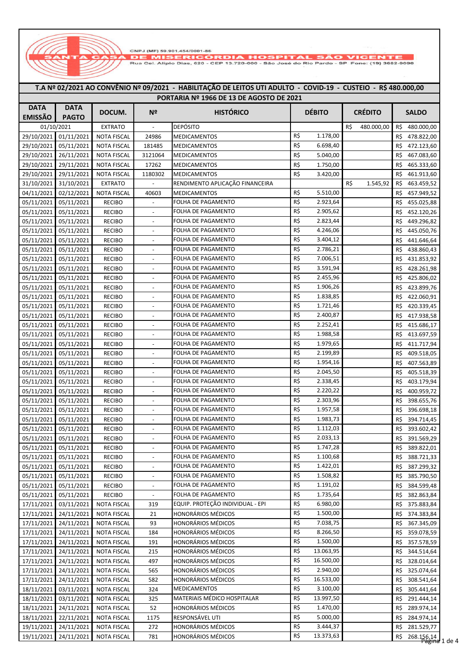CNPJ (MF) 59.901.454/0001-86 **1ISERICÓI DIA HOSPITAL** 

Rua Cei, Alipio Dias, 620 - CEP 13.720-000 - São José do Rio Pardo - SP Fone: (19) 3682-9090

## EXTRATO - DEPÓSITO R\$ 480.000,00 480.000,00 R\$ 29/10/2021 01/11/2021 NOTA FISCAL 24986 MEDICAMENTOS R\$ 1.178,00 R\$ 478.822,00 29/10/2021 05/11/2021 NOTA FISCAL 181485 MEDICAMENTOS R\$ 6.698,40 R\$ 472.123,60 29/10/2021 26/11/2021 NOTA FISCAL 3121064 MEDICAMENTOS R\$ 5.040,00 R\$ 467.083,60 29/10/2021 29/11/2021 NOTA FISCAL 17262 MEDICAMENTOS R\$ 1.750,00 R\$ 1.750,00 R\$ 465.333,60 29/10/2021 29/11/2021 NOTA FISCAL 1180302 MEDICAMENTOS R\$ 3.420,00 R\$ 461.913,60 31/10/2021 31/10/2021 EXTRATO - RENDIMENTO APLICAÇÃO FINANCEIRA 1.545,92 R\$ 463.459,52 04/11/2021 02/12/2021 NOTA FISCAL 40603 MEDICAMENTOS R\$ 5.510,00 R\$ 457.949,52 05/11/2021 05/11/2021 RECIBO - FOLHA DE PAGAMENTO R\$ 2.923,64 R\$ 455.025,88 05/11/2021 05/11/2021 RECIBO - FOLHA DE PAGAMENTO R\$ 2.905,62 R\$ 452.120,26 05/11/2021 05/11/2021 RECIBO - FOLHA DE PAGAMENTO R\$ 2.823,44 R\$ 449.296.82 05/11/2021 05/11/2021 RECIBO - FOLHA DE PAGAMENTO R\$ 4.246,06 R\$ 445.050,76 05/11/2021 05/11/2021 RECIBO - FOLHA DE PAGAMENTO R\$ 3.404,12 R\$ 441.646,64 05/11/2021 05/11/2021 RECIBO - FOLHA DE PAGAMENTO R\$ 2.786,21 R\$ 438.860,43 05/11/2021 05/11/2021 RECIBO - FOLHA DE PAGAMENTO R\$ 7.006,51 R\$ 431.853,92 05/11/2021 05/11/2021 RECIBO - FOLHA DE PAGAMENTO R\$ 3.591,94 R\$ 428.261,98 05/11/2021 05/11/2021 RECIBO - FOLHA DE PAGAMENTO R\$ 2.455,96 R\$ 425.806,02 05/11/2021 05/11/2021 RECIBO - FOLHA DE PAGAMENTO R\$ 1.906,26 R\$ 423.899,76 05/11/2021 05/11/2021 RECIBO - FOLHA DE PAGAMENTO R\$ 1.838,85 R\$ 422.060,91 05/11/2021 05/11/2021 RECIBO - FOLHA DE PAGAMENTO R\$ 1.721,46 R\$ 420.339,45 05/11/2021 05/11/2021 RECIBO - FOLHA DE PAGAMENTO R\$ 2.400,87 R\$ 417.938,58 05/11/2021 05/11/2021 RECIBO - FOLHA DE PAGAMENTO R\$ 2.252,41 R\$ 415.686,17 05/11/2021 05/11/2021 RECIBO - FOLHA DE PAGAMENTO R\$ 1.988,58 R\$ R\$ 413.697,59 05/11/2021 05/11/2021 RECIBO - FOLHA DE PAGAMENTO R\$ 1.979,65 R\$ 411.717,94 05/11/2021 05/11/2021 RECIBO - FOLHA DE PAGAMENTO R\$ 2.199,89 R\$ 409.518,05 05/11/2021 05/11/2021 RECIBO - FOLHA DE PAGAMENTO R\$ 1.954,16 R\$ 407.563,89 05/11/2021 05/11/2021 RECIBO - FOLHA DE PAGAMENTO R\$ 2.045,50 R\$ 405.518,39 05/11/2021 05/11/2021 RECIBO - FOLHA DE PAGAMENTO R\$ 2.338,45 R\$ 403.179,94 05/11/2021 05/11/2021 RECIBO - FOLHA DE PAGAMENTO R\$ 2.220,22 R\$ 400.959,72 05/11/2021 05/11/2021 RECIBO - FOLHA DE PAGAMENTO R\$ 2.303,96 R\$ 398.655,76 05/11/2021 05/11/2021 RECIBO - FOLHA DE PAGAMENTO R\$ 1.957,58 R\$ 396.698,18 05/11/2021 05/11/2021 RECIBO - FOLHA DE PAGAMENTO R\$ 1.983,73 R\$ 394.714.45 05/11/2021 05/11/2021 RECIBO - FOLHA DE PAGAMENTO R\$ 1.112,03 R\$ 393.602,42 05/11/2021 05/11/2021 RECIBO - FOLHA DE PAGAMENTO R\$ 2.033,13 R\$ 991.569,29 05/11/2021 05/11/2021 RECIBO - FOLHA DE PAGAMENTO R\$ 1.747,28 R\$ 389.822.01 05/11/2021 05/11/2021 RECIBO - FOLHA DE PAGAMENTO R\$ 1.100,68 R\$ R\$ 388.721,33 05/11/2021 05/11/2021 RECIBO - FOLHA DE PAGAMENTO R\$ 1.422,01 R\$ 387.299,32 05/11/2021 05/11/2021 RECIBO FOLHA DE PAGAMENTO R\$ 1.508,82 R\$ 385.790,50 05/11/2021 05/11/2021 RECIBO - FOLHA DE PAGAMENTO R\$ 1.191,02 R\$ 384.599.48 05/11/2021 05/11/2021 RECIBO - FOLHA DE PAGAMENTO R\$ 1.735,64 R\$ 382.863.84 17/11/2021 03/11/2021 NOTA FISCAL 319 EQUIP. PROTEÇÃO INDIVIDUAL - EPI 6.980,00 R\$ R\$ 375.883,84 17/11/2021 24/11/2021 NOTA FISCAL 21 HONORÁRIOS MÉDICOS R\$ 1.500,00 R\$ 374.383,84 17/11/2021 24/11/2021 NOTA FISCAL 93 HONORÁRIOS MÉDICOS R\$ 7.038,75 R\$ 367.345,09 17/11/2021 24/11/2021 NOTA FISCAL 184 HONORÁRIOS MÉDICOS R\$ 8.266,50 R\$ 359.078,59 17/11/2021 24/11/2021 NOTA FISCAL 191 HONORÁRIOS MÉDICOS R\$ 1.500,00 R\$ 357.578,59 17/11/2021 24/11/2021 NOTA FISCAL 215 HONORÁRIOS MÉDICOS R\$ 13.063,95 R\$ 344.514.64 17/11/2021 24/11/2021 NOTA FISCAL 497 HONORÁRIOS MÉDICOS R\$ 16.500,00 R\$ 328.014,64 17/11/2021 24/11/2021 NOTA FISCAL 565 HONORÁRIOS MÉDICOS R\$ 2.940,00 R\$ 325.074,64 17/11/2021 24/11/2021 NOTA FISCAL 582 HONORÁRIOS MÉDICOS R\$ 16.533,00 R\$ 308.541,64 18/11/2021 03/11/2021 NOTA FISCAL 324 MEDICAMENTOS R\$ 3.100,00 R\$ 3.5441,64 18/11/2021 03/11/2021 NOTA FISCAL 325 MATERIAIS MÉDICO HOSPITALAR 13.997,50 R\$ R\$ 291.444,14 18/11/2021 24/11/2021 NOTA FISCAL 52 HONORÁRIOS MÉDICOS R\$ 1.470,00 R\$ 289.974,14 18/11/2021 22/11/2021 NOTA FISCAL 1175 RESPONSÁVEL UTI R\$ 5.000,00 R\$ 5.000,00 R\$ 284.974,14 19/11/2021 24/11/2021 NOTA FISCAL 272 HONORÁRIOS MÉDICOS R\$ 3.444,37 R\$ 281.529,77 19/11/2021 24/11/2021 NOTA FISCAL 781 HONORÁRIOS MÉDICOS R\$ 13.373,63 R\$ 268.156,14 **SALDO** 01/10/2021 **T.A Nº 02/2021 AO CONVÊNIO Nº 09/2021 - HABILITAÇÃO DE LEITOS UTI ADULTO - COVID-19 - CUSTEIO - R\$ 480.000,00 PORTARIA Nº 1966 DE 13 DE AGOSTO DE 2021 DATA EMISSÃO DATA PAGTO DOCUM. Nº HISTÓRICO DÉBITO CRÉDITO**

<del>ágina</del> 1 de 4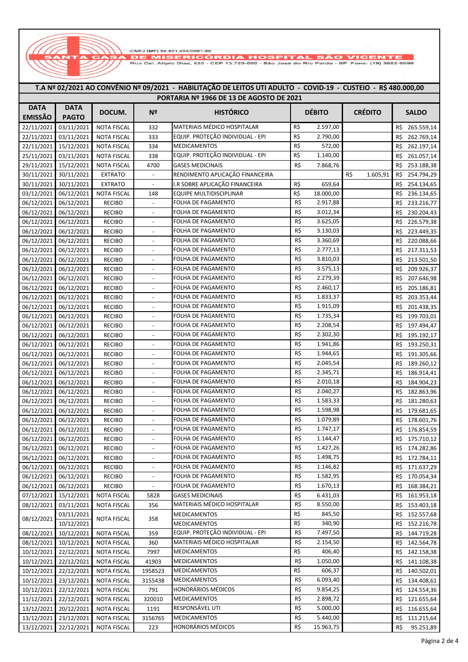CNPJ (MF) 59.901,454/0001-86<br>| DE MISERICÓRDIA HOSPITAL SÃO VICENTE<br>| Rua Ce¦. Alípio Dias, 620 - CEP 13.720-000 - São José do Rio Pardo - SP Fone: (19) 3682-9090

## **T.A Nº 02/2021 AO CONVÊNIO Nº 09/2021 - HABILITAÇÃO DE LEITOS UTI ADULTO - COVID-19 - CUSTEIO - R\$ 480.000,00 PORTARIA Nº 1966 DE 13 DE AGOSTO DE 2021**

|                | <b>PURTARIA Nº 1900 DE 13 DE AGOSTO DE 2021</b> |                    |                          |                                  |                  |                 |                   |  |  |  |
|----------------|-------------------------------------------------|--------------------|--------------------------|----------------------------------|------------------|-----------------|-------------------|--|--|--|
| <b>DATA</b>    | <b>DATA</b>                                     | DOCUM.             | N <sup>o</sup>           | <b>HISTÓRICO</b>                 | <b>DÉBITO</b>    | <b>CRÉDITO</b>  | <b>SALDO</b>      |  |  |  |
| <b>EMISSÃO</b> | <b>PAGTO</b>                                    |                    |                          |                                  |                  |                 |                   |  |  |  |
| 22/11/2021     | 03/11/2021                                      | <b>NOTA FISCAL</b> | 332                      | MATERIAIS MÉDICO HOSPITALAR      | R\$<br>2.597,00  |                 | R\$<br>265.559,14 |  |  |  |
| 22/11/2021     | 03/11/2021                                      | <b>NOTA FISCAL</b> | 333                      | EQUIP. PROTEÇÃO INDIVIDUAL - EPI | R\$<br>2.790,00  |                 | R\$<br>262.769,14 |  |  |  |
| 22/11/2021     | 15/12/2021                                      | <b>NOTA FISCAL</b> | 334                      | <b>MEDICAMENTOS</b>              | R\$<br>572,00    |                 | R\$<br>262.197,14 |  |  |  |
| 25/11/2021     | 03/11/2021                                      | <b>NOTA FISCAL</b> | 338                      | EQUIP. PROTEÇÃO INDIVIDUAL - EPI | R\$<br>1.140,00  |                 | R\$<br>261.057,14 |  |  |  |
| 29/11/2021     | 15/12/2021                                      | <b>NOTA FISCAL</b> | 4700                     | <b>GASES MEDICINAIS</b>          | R\$<br>7.868,76  |                 | 253.188,38<br>R\$ |  |  |  |
| 30/11/2021     | 30/11/2021                                      | <b>EXTRATO</b>     | $\overline{\phantom{a}}$ | RENDIMENTO APLICAÇÃO FINANCEIRA  |                  | R\$<br>1.605,91 | 254.794,29<br>R\$ |  |  |  |
| 30/11/2021     | 30/11/2021                                      | <b>EXTRATO</b>     | $\overline{\phantom{a}}$ | I.R SOBRE APLICAÇÃO FINANCEIRA   | R\$<br>659,64    |                 | 254.134,65<br>R\$ |  |  |  |
| 03/12/2021     | 06/12/2021                                      | <b>NOTA FISCAL</b> | 148                      | <b>EQUIPE MULTIDISCIPLINAR</b>   | R\$<br>18.000,00 |                 | R\$<br>236.134,65 |  |  |  |
| 06/12/2021     | 06/12/2021                                      | <b>RECIBO</b>      | $\overline{\phantom{a}}$ | FOLHA DE PAGAMENTO               | R\$<br>2.917,88  |                 | R\$<br>233.216,77 |  |  |  |
| 06/12/2021     | 06/12/2021                                      | <b>RECIBO</b>      | $\overline{\phantom{a}}$ | FOLHA DE PAGAMENTO               | R\$<br>3.012,34  |                 | R\$<br>230.204,43 |  |  |  |
| 06/12/2021     | 06/12/2021                                      | <b>RECIBO</b>      | $\overline{\phantom{a}}$ | FOLHA DE PAGAMENTO               | R\$<br>3.625,05  |                 | R\$<br>226.579,38 |  |  |  |
| 06/12/2021     | 06/12/2021                                      | <b>RECIBO</b>      | $\overline{\phantom{a}}$ | FOLHA DE PAGAMENTO               | R\$<br>3.130,03  |                 | R\$<br>223.449,35 |  |  |  |
| 06/12/2021     | 06/12/2021                                      | <b>RECIBO</b>      | $\overline{\phantom{a}}$ | FOLHA DE PAGAMENTO               | R\$<br>3.360,69  |                 | R\$<br>220.088,66 |  |  |  |
| 06/12/2021     | 06/12/2021                                      | <b>RECIBO</b>      | $\overline{\phantom{a}}$ | FOLHA DE PAGAMENTO               | R\$<br>2.777,13  |                 | R\$<br>217.311,53 |  |  |  |
| 06/12/2021     | 06/12/2021                                      | <b>RECIBO</b>      | $\overline{\phantom{a}}$ | FOLHA DE PAGAMENTO               | R\$<br>3.810,03  |                 | R\$<br>213.501,50 |  |  |  |
| 06/12/2021     | 06/12/2021                                      | <b>RECIBO</b>      | $\overline{\phantom{a}}$ | FOLHA DE PAGAMENTO               | R\$<br>3.575,13  |                 | R\$<br>209.926,37 |  |  |  |
| 06/12/2021     | 06/12/2021                                      | <b>RECIBO</b>      | $\overline{\phantom{a}}$ | FOLHA DE PAGAMENTO               | R\$<br>2.279,39  |                 | R\$<br>207.646,98 |  |  |  |
| 06/12/2021     | 06/12/2021                                      | <b>RECIBO</b>      | $\overline{\phantom{a}}$ | FOLHA DE PAGAMENTO               | R\$<br>2.460,17  |                 | R\$<br>205.186,81 |  |  |  |
| 06/12/2021     | 06/12/2021                                      | <b>RECIBO</b>      | $\overline{\phantom{a}}$ | FOLHA DE PAGAMENTO               | R\$<br>1.833,37  |                 | R\$<br>203.353,44 |  |  |  |
| 06/12/2021     | 06/12/2021                                      | <b>RECIBO</b>      | $\overline{\phantom{a}}$ | FOLHA DE PAGAMENTO               | R\$<br>1.915,09  |                 | R\$<br>201.438,35 |  |  |  |
| 06/12/2021     | 06/12/2021                                      | <b>RECIBO</b>      | $\overline{\phantom{a}}$ | FOLHA DE PAGAMENTO               | R\$<br>1.735,34  |                 | R\$<br>199.703,01 |  |  |  |
| 06/12/2021     | 06/12/2021                                      | <b>RECIBO</b>      | $\overline{\phantom{a}}$ | FOLHA DE PAGAMENTO               | R\$<br>2.208,54  |                 | R\$<br>197.494,47 |  |  |  |
| 06/12/2021     | 06/12/2021                                      | <b>RECIBO</b>      | $\overline{\phantom{a}}$ | FOLHA DE PAGAMENTO               | R\$<br>2.302,30  |                 | R\$<br>195.192,17 |  |  |  |
| 06/12/2021     | 06/12/2021                                      | <b>RECIBO</b>      | $\overline{\phantom{a}}$ | FOLHA DE PAGAMENTO               | R\$<br>1.941,86  |                 | R\$<br>193.250,31 |  |  |  |
| 06/12/2021     | 06/12/2021                                      | <b>RECIBO</b>      | $\overline{\phantom{a}}$ | FOLHA DE PAGAMENTO               | R\$<br>1.944,65  |                 | R\$<br>191.305,66 |  |  |  |
| 06/12/2021     | 06/12/2021                                      | <b>RECIBO</b>      | $\overline{\phantom{a}}$ | FOLHA DE PAGAMENTO               | R\$<br>2.045,54  |                 | R\$<br>189.260,12 |  |  |  |
| 06/12/2021     | 06/12/2021                                      | <b>RECIBO</b>      | $\overline{\phantom{a}}$ | FOLHA DE PAGAMENTO               | R\$<br>2.345,71  |                 | R\$<br>186.914,41 |  |  |  |
| 06/12/2021     | 06/12/2021                                      | <b>RECIBO</b>      | $\overline{\phantom{a}}$ | FOLHA DE PAGAMENTO               | R\$<br>2.010,18  |                 | R\$<br>184.904,23 |  |  |  |
| 06/12/2021     | 06/12/2021                                      | <b>RECIBO</b>      | $\overline{\phantom{a}}$ | FOLHA DE PAGAMENTO               | R\$<br>2.040,27  |                 | R\$<br>182.863,96 |  |  |  |
| 06/12/2021     | 06/12/2021                                      | <b>RECIBO</b>      | $\overline{\phantom{a}}$ | FOLHA DE PAGAMENTO               | R\$<br>1.583,33  |                 | R\$<br>181.280,63 |  |  |  |
| 06/12/2021     | 06/12/2021                                      | <b>RECIBO</b>      | $\overline{\phantom{m}}$ | FOLHA DE PAGAMENTO               | R\$<br>1.598,98  |                 | R\$<br>179.681,65 |  |  |  |
| 06/12/2021     | 06/12/2021                                      | <b>RECIBO</b>      | $\overline{\phantom{a}}$ | FOLHA DE PAGAMENTO               | R\$<br>1.079,89  |                 | R\$<br>178.601,76 |  |  |  |
| 06/12/2021     | 06/12/2021                                      | <b>RECIBO</b>      | $\overline{\phantom{a}}$ | FOLHA DE PAGAMENTO               | R\$<br>1.747,17  |                 | R\$<br>176.854,59 |  |  |  |
| 06/12/2021     | 06/12/2021                                      | <b>RECIBO</b>      | $\overline{\phantom{a}}$ | FOLHA DE PAGAMENTO               | R\$<br>1.144,47  |                 | R\$<br>175.710,12 |  |  |  |
|                | 06/12/2021 06/12/2021                           | <b>RECIBO</b>      |                          | FOLHA DE PAGAMENTO               | R\$<br>1.427,26  |                 | R\$<br>174.282,86 |  |  |  |
| 06/12/2021     | 06/12/2021                                      | <b>RECIBO</b>      | $\overline{\phantom{a}}$ | FOLHA DE PAGAMENTO               | R\$<br>1.498,75  |                 | R\$<br>172.784,11 |  |  |  |
| 06/12/2021     | 06/12/2021                                      | <b>RECIBO</b>      | $\overline{\phantom{a}}$ | FOLHA DE PAGAMENTO               | R\$<br>1.146,82  |                 | R\$<br>171.637,29 |  |  |  |
| 06/12/2021     | 06/12/2021                                      | <b>RECIBO</b>      | $\overline{\phantom{a}}$ | FOLHA DE PAGAMENTO               | R\$<br>1.582,95  |                 | R\$<br>170.054,34 |  |  |  |
| 06/12/2021     | 06/12/2021                                      | <b>RECIBO</b>      | $\overline{\phantom{a}}$ | FOLHA DE PAGAMENTO               | R\$<br>1.670,13  |                 | 168.384,21<br>R\$ |  |  |  |
| 07/12/2021     | 15/12/2021                                      | <b>NOTA FISCAL</b> | 5828                     | <b>GASES MEDICINAIS</b>          | R\$<br>6.431,03  |                 | 161.953,18<br>R\$ |  |  |  |
| 08/12/2021     | 03/11/2021                                      | <b>NOTA FISCAL</b> | 356                      | MATERIAIS MÉDICO HOSPITALAR      | R\$<br>8.550,00  |                 | 153.403,18<br>R\$ |  |  |  |
|                | 03/11/2021                                      |                    |                          | MEDICAMENTOS                     | R\$<br>845,50    |                 | 152.557,68<br>R\$ |  |  |  |
| 08/12/2021     | 10/12/2021                                      | <b>NOTA FISCAL</b> | 358                      | MEDICAMENTOS                     | R\$<br>340,90    |                 | 152.216,78<br>R\$ |  |  |  |
| 08/12/2021     | 10/12/2021                                      | <b>NOTA FISCAL</b> | 359                      | EQUIP. PROTEÇÃO INDIVIDUAL - EPI | R\$<br>7.497,50  |                 | 144.719,28<br>R\$ |  |  |  |
| 08/12/2021     | 10/12/2021                                      | NOTA FISCAL        | 360                      | MATERIAIS MÉDICO HOSPITALAR      | R\$<br>2.154,50  |                 | 142.564,78<br>R\$ |  |  |  |
| 10/12/2021     | 22/12/2021                                      | <b>NOTA FISCAL</b> | 7997                     | MEDICAMENTOS                     | R\$<br>406,40    |                 | 142.158,38<br>R\$ |  |  |  |
| 10/12/2021     | 22/12/2021                                      | <b>NOTA FISCAL</b> | 41903                    | MEDICAMENTOS                     | R\$<br>1.050,00  |                 | 141.108,38<br>R\$ |  |  |  |
| 10/12/2021     | 22/12/2021                                      | <b>NOTA FISCAL</b> | 1958523                  | MEDICAMENTOS                     | R\$<br>606,37    |                 | 140.502,01<br>R\$ |  |  |  |
| 10/12/2021     | 23/12/2021                                      | <b>NOTA FISCAL</b> | 3155438                  | <b>MEDICAMENTOS</b>              | R\$<br>6.093,40  |                 | 134.408,61<br>R\$ |  |  |  |
| 10/12/2021     | 22/12/2021                                      | NOTA FISCAL        | 791                      | HONORÁRIOS MÉDICOS               | R\$<br>9.854,25  |                 | 124.554,36<br>R\$ |  |  |  |
| 11/12/2021     | 22/12/2021                                      | NOTA FISCAL        | 320010                   | <b>MEDICAMENTOS</b>              | R\$<br>2.898,72  |                 | 121.655,64<br>R\$ |  |  |  |
| 13/12/2021     | 20/12/2021                                      | <b>NOTA FISCAL</b> | 1191                     | RESPONSÁVEL UTI                  | R\$<br>5.000,00  |                 | 116.655,64<br>R\$ |  |  |  |
| 13/12/2021     | 23/12/2021                                      | <b>NOTA FISCAL</b> | 3156765                  | <b>MEDICAMENTOS</b>              | R\$<br>5.440,00  |                 | R\$<br>111.215,64 |  |  |  |
| 13/12/2021     | 22/12/2021                                      | <b>NOTA FISCAL</b> | 223                      | HONORÁRIOS MÉDICOS               | R\$<br>15.963,75 |                 | R\$<br>95.251,89  |  |  |  |
|                |                                                 |                    |                          |                                  |                  |                 |                   |  |  |  |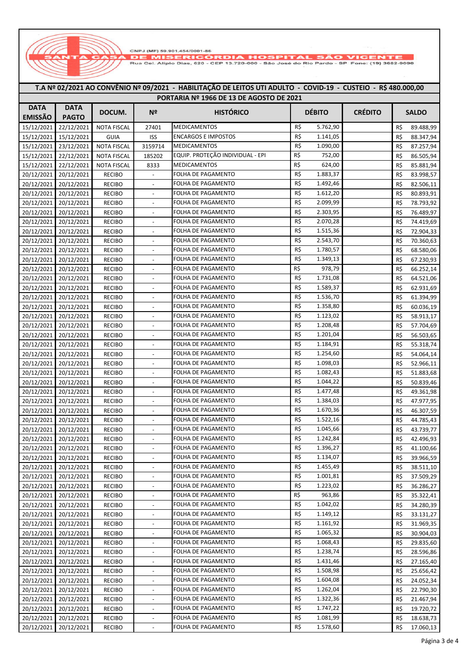CNPJ (MF) 59.901.454/0001-86 **1ISERICÓI DIA HOSPITAL** Rua Cei, Alipio Dias, 620 - CEP 13.720-000 - São José do Rio Pardo - SP Fone: (19) 3682-9090

**T.A Nº 02/2021 AO CONVÊNIO Nº 09/2021 - HABILITAÇÃO DE LEITOS UTI ADULTO - COVID-19 - CUSTEIO - R\$ 480.000,00**

## **SALDO** 15/12/2021 22/12/2021 **PORTARIA Nº 1966 DE 13 DE AGOSTO DE 2021 DATA EMISSÃO DATA PAGTO DOCUM. Nº HISTÓRICO DÉBITO CRÉDITO** 15/12/2021 22/12/2021 NOTA FISCAL 27401 MEDICAMENTOS 5.762,90 R\$ R\$ 89.488,99 15/12/2021 15/12/2021 GUIA ISS ENCARGOS E IMPOSTOS R\$ 1.141,05 R\$ 88.347,94 15/12/2021 23/12/2021 NOTA FISCAL 3159714 MEDICAMENTOS R\$ 1.090,00 R\$ 87.257,94 15/12/2021 22/12/2021 NOTA FISCAL 185202 EQUIP. PROTEÇÃO INDIVIDUAL - EPI R\$ 752,00 R\$ 86.505,94 15/12/2021 22/12/2021 NOTA FISCAL 8333 MEDICAMENTOS R\$ 624,00 R\$ 85.881,94 20/12/2021 20/12/2021 RECIBO - FOLHA DE PAGAMENTO R\$ 1.883,37 R\$ 83.998,57 20/12/2021 20/12/2021 RECIBO - FOLHA DE PAGAMENTO R\$ 1.492,46 R\$ 82.506,11 20/12/2021 20/12/2021 RECIBO - FOLHA DE PAGAMENTO R\$ 1.612,20 R\$ 80.893,91 20/12/2021 20/12/2021 RECIBO - FOLHA DE PAGAMENTO R\$ 2.099,99 R\$ 78.793,92 20/12/2021 20/12/2021 RECIBO - FOLHA DE PAGAMENTO 2.303,95 R\$ R\$ 76.489,97 20/12/2021 20/12/2021 RECIBO - FOLHA DE PAGAMENTO 2.070,28 R\$ R\$ 74.419,69 20/12/2021 20/12/2021 RECIBO - FOLHA DE PAGAMENTO R\$ 1.515,36 R\$ R\$ 72.904,33 20/12/2021 20/12/2021 RECIBO - FOLHA DE PAGAMENTO R\$ 2.543,70 R\$ 70.360,63 20/12/2021 20/12/2021 RECIBO - FOLHA DE PAGAMENTO R\$ 1.780,57 R\$ 68.580,06 20/12/2021 20/12/2021 RECIBO - FOLHA DE PAGAMENTO R\$ 1.349,13 R\$ 67.230,93 20/12/2021 20/12/2021 RECIBO - FOLHA DE PAGAMENTO R\$ 978,79 R\$ 66.252,14 20/12/2021 20/12/2021 RECIBO - FOLHA DE PAGAMENTO R\$ 1.731,08 R\$ 64.521,06 20/12/2021 20/12/2021 RECIBO - FOLHA DE PAGAMENTO R\$ 1.589,37 R\$ 62.931,69 20/12/2021 20/12/2021 RECIBO - FOLHA DE PAGAMENTO R\$ 1.536,70 R\$ 61.394,99 20/12/2021 20/12/2021 RECIBO - FOLHA DE PAGAMENTO R\$ 1.358,80 R\$ 60.036,19 20/12/2021 20/12/2021 RECIBO - FOLHA DE PAGAMENTO R\$ 1.123,02 R\$ 58.913.17 20/12/2021 20/12/2021 RECIBO - FOLHA DE PAGAMENTO R\$ 1.208,48 R\$ 57.704,69 20/12/2021 20/12/2021 RECIBO - FOLHA DE PAGAMENTO R\$ 1.201,04 R\$ 56.503,65 20/12/2021 20/12/2021 RECIBO - FOLHA DE PAGAMENTO R\$ 1.184,91 R\$ 55.318,74 20/12/2021 20/12/2021 RECIBO - FOLHA DE PAGAMENTO R\$ 1.254,60 R\$ 54.064,14 20/12/2021 20/12/2021 RECIBO - FOLHA DE PAGAMENTO R\$ 1.098,03 R\$ S2.966,11 20/12/2021 20/12/2021 RECIBO - FOLHA DE PAGAMENTO R\$ 1.082,43 R\$ 51.883,68 20/12/2021 20/12/2021 RECIBO - FOLHA DE PAGAMENTO R\$ 1.044,22 R\$ 50.839,46 20/12/2021 20/12/2021 RECIBO - FOLHA DE PAGAMENTO R\$ 1.477,48 R\$ 49.361,98 20/12/2021 20/12/2021 RECIBO - FOLHA DE PAGAMENTO R\$ 1.384,03 R\$ 47.977,95 20/12/2021 20/12/2021 RECIBO - FOLHA DE PAGAMENTO R\$ 1.670,36 R\$ 46.307,59 20/12/2021 20/12/2021 RECIBO - FOLHA DE PAGAMENTO R\$ 1.522,16 R\$ 44.785,43 20/12/2021 20/12/2021 RECIBO - FOLHA DE PAGAMENTO R\$ 1.045,66 R\$ R\$ 43.739,77 20/12/2021 20/12/2021 RECIBO FOLHA DE PAGAMENTO RES 1.242,84 R\$ 42.496,93 20/12/2021 20/12/2021 RECIBO - FOLHA DE PAGAMENTO R\$ 1.396,27 R\$ 41.100,66 20/12/2021 20/12/2021 RECIBO - FOLHA DE PAGAMENTO R\$ 1.134,07 R\$ 39.966,59 20/12/2021 20/12/2021 RECIBO - FOLHA DE PAGAMENTO R\$ 1.455,49 R\$ 88.511,10 20/12/2021 20/12/2021 RECIBO - FOLHA DE PAGAMENTO R\$ 1.001,81 R\$ 37.509,29 20/12/2021 20/12/2021 RECIBO - FOLHA DE PAGAMENTO R\$ 1.223,02 R\$ 36.286,27 20/12/2021 20/12/2021 RECIBO - FOLHA DE PAGAMENTO R\$ 963,86 R\$ R\$ 35.322.41 20/12/2021 20/12/2021 RECIBO - FOLHA DE PAGAMENTO R\$ 1.042,02 R\$ 34.280,39 20/12/2021 20/12/2021 RECIBO - FOLHA DE PAGAMENTO R\$ 1.149,12 R\$ 33.131.27 20/12/2021 20/12/2021 RECIBO - FOLHA DE PAGAMENTO R\$ 1.161,92 R\$ 31.969.35 20/12/2021 20/12/2021 RECIBO - FOLHA DE PAGAMENTO R\$ 1.065,32 R\$ 80.904,03 20/12/2021 20/12/2021 RECIBO - FOLHA DE PAGAMENTO R\$ 1.068,43 20/12/2021 20/12/2021 RECIBO - FOLHA DE PAGAMENTO R\$ 1.238,74 R\$ 28.596.86 20/12/2021 20/12/2021 RECIBO - FOLHA DE PAGAMENTO R\$ 1.431,46 R\$ 27.165,40 20/12/2021 20/12/2021 RECIBO - FOLHA DE PAGAMENTO R\$ 1.508,98 R\$ 25.656,42 20/12/2021 20/12/2021 RECIBO - FOLHA DE PAGAMENTO R\$ 1.604,08 R\$ 24.052.34 20/12/2021 20/12/2021 RECIBO - FOLHA DE PAGAMENTO R\$ 1.262,04 R\$ 22.790.30 20/12/2021 20/12/2021 RECIBO - FOLHA DE PAGAMENTO R\$ 1.322,36 R\$ 21.467,94 20/12/2021 20/12/2021 RECIBO - FOLHA DE PAGAMENTO R\$ 1.747,22 R\$ 19.720.72 20/12/2021 20/12/2021 RECIBO - FOLHA DE PAGAMENTO R\$ 1.081,99 R\$ 18.638.73 20/12/2021 20/12/2021 RECIBO - FOLHA DE PAGAMENTO R\$ 1.578,60 R\$ 17.060,13